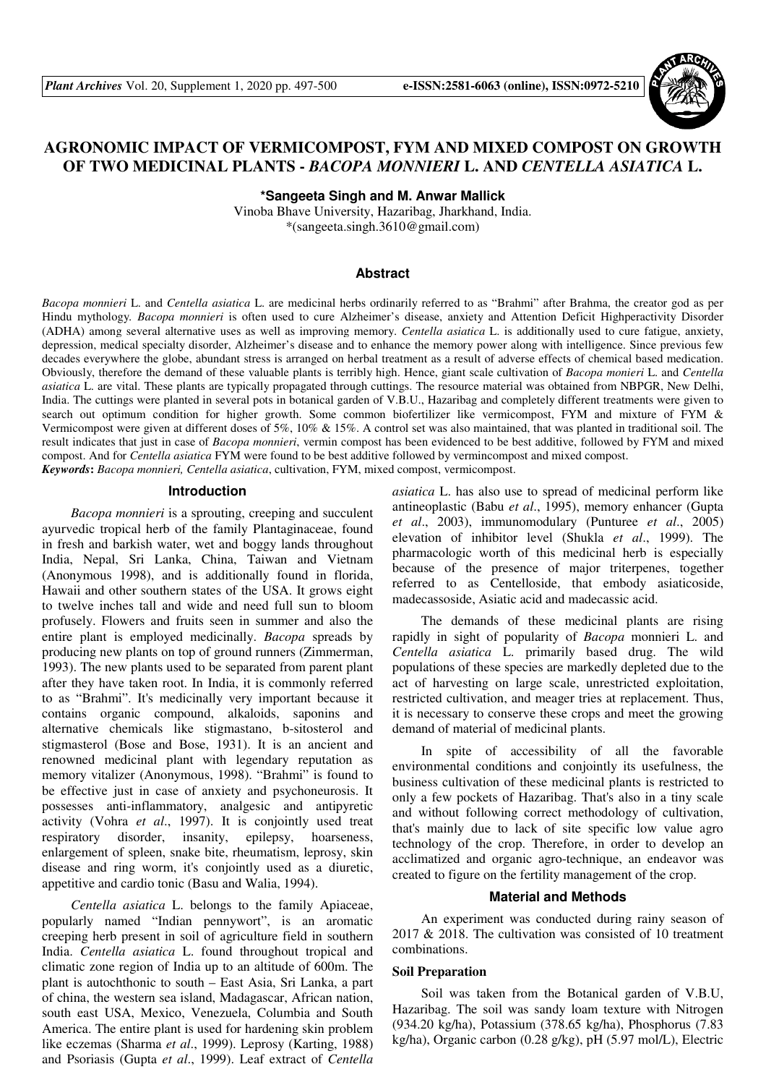

# **AGRONOMIC IMPACT OF VERMICOMPOST, FYM AND MIXED COMPOST ON GROWTH OF TWO MEDICINAL PLANTS -** *BACOPA MONNIERI* **L. AND** *CENTELLA ASIATICA* **L.**

**\*Sangeeta Singh and M. Anwar Mallick** 

Vinoba Bhave University, Hazaribag, Jharkhand, India. \*(sangeeta.singh.3610@gmail.com)

### **Abstract**

*Bacopa monnieri* L. and *Centella asiatica* L. are medicinal herbs ordinarily referred to as "Brahmi" after Brahma, the creator god as per Hindu mythology*. Bacopa monnieri* is often used to cure Alzheimer's disease, anxiety and Attention Deficit Highperactivity Disorder (ADHA) among several alternative uses as well as improving memory. *Centella asiatica* L. is additionally used to cure fatigue, anxiety, depression, medical specialty disorder, Alzheimer's disease and to enhance the memory power along with intelligence. Since previous few decades everywhere the globe, abundant stress is arranged on herbal treatment as a result of adverse effects of chemical based medication. Obviously, therefore the demand of these valuable plants is terribly high. Hence, giant scale cultivation of *Bacopa monieri* L. and *Centella asiatica* L. are vital. These plants are typically propagated through cuttings. The resource material was obtained from NBPGR, New Delhi, India. The cuttings were planted in several pots in botanical garden of V.B.U., Hazaribag and completely different treatments were given to search out optimum condition for higher growth. Some common biofertilizer like vermicompost, FYM and mixture of FYM & Vermicompost were given at different doses of 5%, 10% & 15%. A control set was also maintained, that was planted in traditional soil. The result indicates that just in case of *Bacopa monnieri*, vermin compost has been evidenced to be best additive, followed by FYM and mixed compost. And for *Centella asiatica* FYM were found to be best additive followed by vermincompost and mixed compost. *Keywords***:** *Bacopa monnieri, Centella asiatica*, cultivation, FYM, mixed compost, vermicompost.

#### **Introduction**

*Bacopa monnieri* is a sprouting, creeping and succulent ayurvedic tropical herb of the family Plantaginaceae, found in fresh and barkish water, wet and boggy lands throughout India, Nepal, Sri Lanka, China, Taiwan and Vietnam (Anonymous 1998), and is additionally found in florida, Hawaii and other southern states of the USA. It grows eight to twelve inches tall and wide and need full sun to bloom profusely. Flowers and fruits seen in summer and also the entire plant is employed medicinally. *Bacopa* spreads by producing new plants on top of ground runners (Zimmerman, 1993). The new plants used to be separated from parent plant after they have taken root. In India, it is commonly referred to as "Brahmi". It's medicinally very important because it contains organic compound, alkaloids, saponins and alternative chemicals like stigmastano, b-sitosterol and stigmasterol (Bose and Bose, 1931). It is an ancient and renowned medicinal plant with legendary reputation as memory vitalizer (Anonymous, 1998). "Brahmi" is found to be effective just in case of anxiety and psychoneurosis. It possesses anti-inflammatory, analgesic and antipyretic activity (Vohra *et al*., 1997). It is conjointly used treat respiratory disorder, insanity, epilepsy, hoarseness, enlargement of spleen, snake bite, rheumatism, leprosy, skin disease and ring worm, it's conjointly used as a diuretic, appetitive and cardio tonic (Basu and Walia, 1994).

*Centella asiatica* L. belongs to the family Apiaceae, popularly named "Indian pennywort", is an aromatic creeping herb present in soil of agriculture field in southern India. *Centella asiatica* L. found throughout tropical and climatic zone region of India up to an altitude of 600m. The plant is autochthonic to south – East Asia, Sri Lanka, a part of china, the western sea island, Madagascar, African nation, south east USA, Mexico, Venezuela, Columbia and South America. The entire plant is used for hardening skin problem like eczemas (Sharma *et al*., 1999). Leprosy (Karting, 1988) and Psoriasis (Gupta *et al*., 1999). Leaf extract of *Centella* 

*asiatica* L. has also use to spread of medicinal perform like antineoplastic (Babu *et al*., 1995), memory enhancer (Gupta *et al*., 2003), immunomodulary (Punturee *et al*., 2005) elevation of inhibitor level (Shukla *et al*., 1999). The pharmacologic worth of this medicinal herb is especially because of the presence of major triterpenes, together referred to as Centelloside, that embody asiaticoside, madecassoside, Asiatic acid and madecassic acid.

The demands of these medicinal plants are rising rapidly in sight of popularity of *Bacopa* monnieri L. and *Centella asiatica* L. primarily based drug. The wild populations of these species are markedly depleted due to the act of harvesting on large scale, unrestricted exploitation, restricted cultivation, and meager tries at replacement. Thus, it is necessary to conserve these crops and meet the growing demand of material of medicinal plants.

In spite of accessibility of all the favorable environmental conditions and conjointly its usefulness, the business cultivation of these medicinal plants is restricted to only a few pockets of Hazaribag. That's also in a tiny scale and without following correct methodology of cultivation, that's mainly due to lack of site specific low value agro technology of the crop. Therefore, in order to develop an acclimatized and organic agro-technique, an endeavor was created to figure on the fertility management of the crop.

#### **Material and Methods**

An experiment was conducted during rainy season of 2017 & 2018. The cultivation was consisted of 10 treatment combinations.

#### **Soil Preparation**

Soil was taken from the Botanical garden of V.B.U, Hazaribag. The soil was sandy loam texture with Nitrogen (934.20 kg/ha), Potassium (378.65 kg/ha), Phosphorus (7.83 kg/ha), Organic carbon (0.28 g/kg), pH (5.97 mol/L), Electric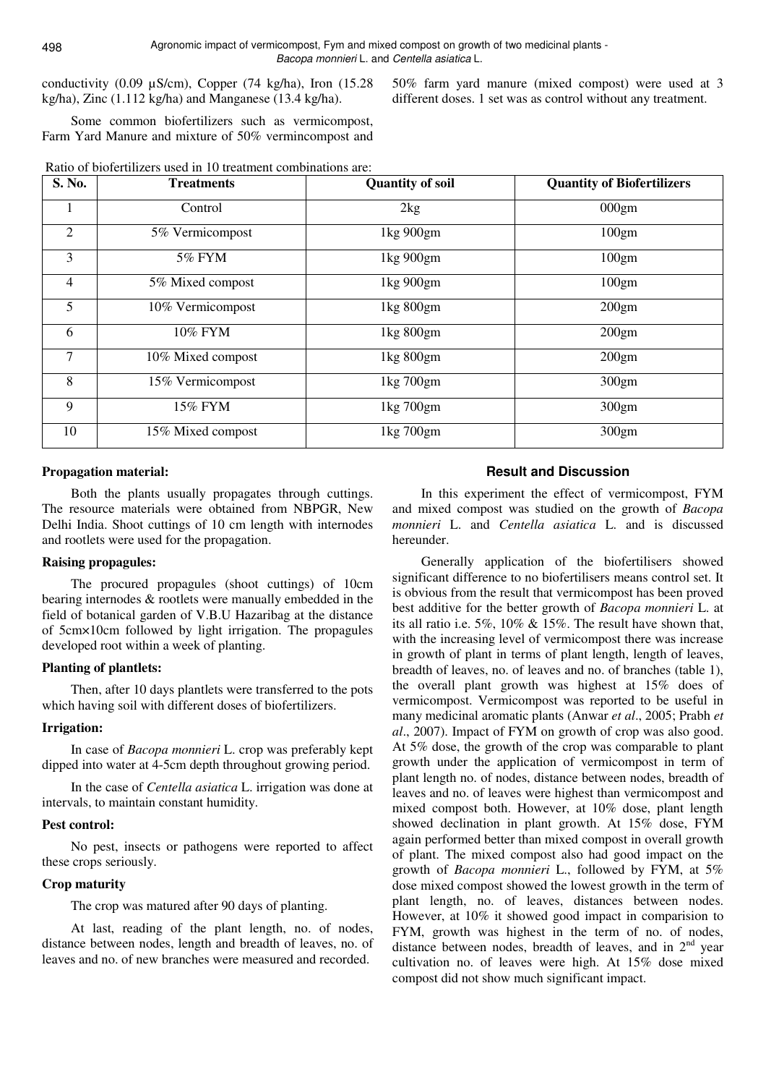conductivity (0.09 µS/cm), Copper (74 kg/ha), Iron (15.28 kg/ha), Zinc (1.112 kg/ha) and Manganese (13.4 kg/ha).

50% farm yard manure (mixed compost) were used at 3 different doses. 1 set was as control without any treatment.

Some common biofertilizers such as vermicompost, Farm Yard Manure and mixture of 50% vermincompost and

| Ratio of biofertilizers used in 10 treatment combinations are: |  |
|----------------------------------------------------------------|--|
|----------------------------------------------------------------|--|

| S. No. | <b>Treatments</b> | <b>Quantity of soil</b> | <b>Quantity of Biofertilizers</b> |
|--------|-------------------|-------------------------|-----------------------------------|
|        | Control           | 2kg                     | 000gm                             |
| 2      | 5% Vermicompost   | 1kg 900gm               | 100gm                             |
| 3      | 5% FYM            | 1kg 900gm               | 100gm                             |
| 4      | 5% Mixed compost  | 1kg 900gm               | 100gm                             |
| 5      | 10% Vermicompost  | 1kg 800gm               | 200gm                             |
| 6      | 10% FYM           | 1kg 800gm               | 200gm                             |
| 7      | 10% Mixed compost | 1kg 800gm               | 200gm                             |
| 8      | 15% Vermicompost  | 1kg 700gm               | 300gm                             |
| 9      | 15% FYM           | 1kg 700gm               | 300gm                             |
| 10     | 15% Mixed compost | 1kg 700gm               | 300gm                             |

#### **Propagation material:**

Both the plants usually propagates through cuttings. The resource materials were obtained from NBPGR, New Delhi India. Shoot cuttings of 10 cm length with internodes and rootlets were used for the propagation.

#### **Raising propagules:**

The procured propagules (shoot cuttings) of 10cm bearing internodes & rootlets were manually embedded in the field of botanical garden of V.B.U Hazaribag at the distance of 5cm×10cm followed by light irrigation. The propagules developed root within a week of planting.

#### **Planting of plantlets:**

Then, after 10 days plantlets were transferred to the pots which having soil with different doses of biofertilizers.

#### **Irrigation:**

In case of *Bacopa monnieri* L. crop was preferably kept dipped into water at 4-5cm depth throughout growing period.

In the case of *Centella asiatica* L. irrigation was done at intervals, to maintain constant humidity.

#### **Pest control:**

No pest, insects or pathogens were reported to affect these crops seriously.

#### **Crop maturity**

The crop was matured after 90 days of planting.

At last, reading of the plant length, no. of nodes, distance between nodes, length and breadth of leaves, no. of leaves and no. of new branches were measured and recorded.

## **Result and Discussion**

In this experiment the effect of vermicompost, FYM and mixed compost was studied on the growth of *Bacopa monnieri* L. and *Centella asiatica* L. and is discussed hereunder.

Generally application of the biofertilisers showed significant difference to no biofertilisers means control set. It is obvious from the result that vermicompost has been proved best additive for the better growth of *Bacopa monnieri* L. at its all ratio i.e. 5%, 10% & 15%. The result have shown that, with the increasing level of vermicompost there was increase in growth of plant in terms of plant length, length of leaves, breadth of leaves, no. of leaves and no. of branches (table 1), the overall plant growth was highest at 15% does of vermicompost. Vermicompost was reported to be useful in many medicinal aromatic plants (Anwar *et al*., 2005; Prabh *et al*., 2007). Impact of FYM on growth of crop was also good. At 5% dose, the growth of the crop was comparable to plant growth under the application of vermicompost in term of plant length no. of nodes, distance between nodes, breadth of leaves and no. of leaves were highest than vermicompost and mixed compost both. However, at 10% dose, plant length showed declination in plant growth. At 15% dose, FYM again performed better than mixed compost in overall growth of plant. The mixed compost also had good impact on the growth of *Bacopa monnieri* L., followed by FYM, at 5% dose mixed compost showed the lowest growth in the term of plant length, no. of leaves, distances between nodes. However, at 10% it showed good impact in comparision to FYM, growth was highest in the term of no. of nodes, distance between nodes, breadth of leaves, and in  $2<sup>nd</sup>$  year cultivation no. of leaves were high. At 15% dose mixed compost did not show much significant impact.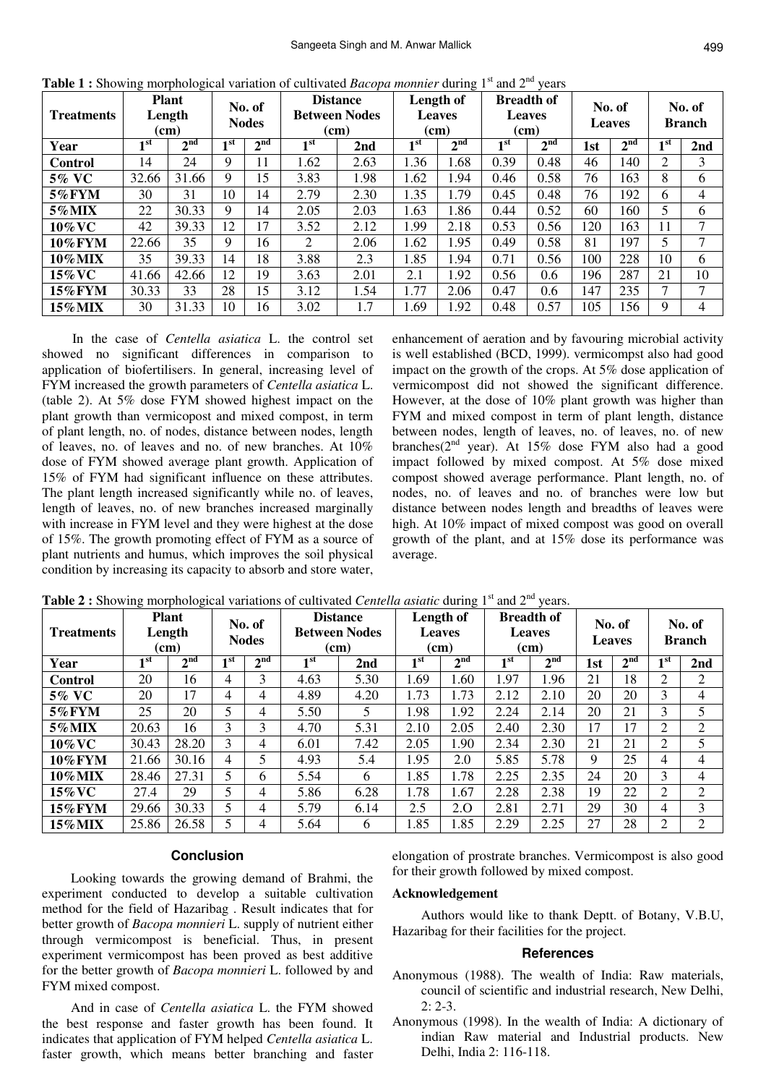| <b>Treatments</b> | <b>Plant</b><br>No. of<br>Length<br><b>Nodes</b><br>(cm) |                          |                 | <b>Distance</b><br><b>Between Nodes</b><br>(cm) |                 | Length of<br><b>Leaves</b><br>(cm) |      | <b>Breadth of</b><br><b>Leaves</b><br>(cm) |                   | No. of<br><b>Leaves</b> |     | No. of<br><b>Branch</b> |                 |                 |
|-------------------|----------------------------------------------------------|--------------------------|-----------------|-------------------------------------------------|-----------------|------------------------------------|------|--------------------------------------------|-------------------|-------------------------|-----|-------------------------|-----------------|-----------------|
| Year              | $\mathbf{I}$ st                                          | $\boldsymbol{\gamma}$ nd | 1 <sub>st</sub> | 2 <sup>nd</sup>                                 | 1 <sup>st</sup> | 2nd                                | 1st  | 2 <sup>nd</sup>                            | $\blacksquare$ st | 2 <sup>nd</sup>         | 1st | 2 <sup>nd</sup>         | $\mathbf{I}$ st | 2 <sub>nd</sub> |
| <b>Control</b>    | 14                                                       | 24                       | 9               | 11                                              | 1.62            | 2.63                               | 1.36 | 1.68                                       | 0.39              | 0.48                    | 46  | 140                     | 2               | 3               |
| 5% VC             | 32.66                                                    | 31.66                    | 9               | 15                                              | 3.83            | 1.98                               | 1.62 | 1.94                                       | 0.46              | 0.58                    | 76  | 163                     | 8               | 6               |
| <b>5%FYM</b>      | 30                                                       | 31                       | 10              | 14                                              | 2.79            | 2.30                               | 1.35 | 1.79                                       | 0.45              | 0.48                    | 76  | 192                     | 6               | 4               |
| 5% MIX            | 22                                                       | 30.33                    | 9               | 14                                              | 2.05            | 2.03                               | 1.63 | 1.86                                       | 0.44              | 0.52                    | 60  | 160                     | 5               | 6               |
| 10% VC            | 42                                                       | 39.33                    | 12              | 17                                              | 3.52            | 2.12                               | 1.99 | 2.18                                       | 0.53              | 0.56                    | 120 | 163                     | 11              | $\mathcal{I}$   |
| <b>10%FYM</b>     | 22.66                                                    | 35                       | 9               | 16                                              | $\overline{2}$  | 2.06                               | 1.62 | 1.95                                       | 0.49              | 0.58                    | 81  | 197                     | 5               | $\mathcal{I}$   |
| <b>10%MIX</b>     | 35                                                       | 39.33                    | 14              | 18                                              | 3.88            | 2.3                                | 1.85 | 1.94                                       | 0.71              | 0.56                    | 100 | 228                     | 10              | 6               |
| 15% VC            | 41.66                                                    | 42.66                    | 12              | 19                                              | 3.63            | 2.01                               | 2.1  | 1.92                                       | 0.56              | 0.6                     | 196 | 287                     | 21              | 10              |
| $15\%$ FYM        | 30.33                                                    | 33                       | 28              | 15                                              | 3.12            | 1.54                               | 1.77 | 2.06                                       | 0.47              | 0.6                     | 147 | 235                     | 7               | $\mathcal{I}$   |
| <b>15%MIX</b>     | 30                                                       | 31.33                    | 10              | 16                                              | 3.02            | 1.7                                | 1.69 | 1.92                                       | 0.48              | 0.57                    | 105 | 156                     | 9               | 4               |

**Table 1 :** Showing morphological variation of cultivated *Bacopa monnier* during 1<sup>st</sup> and 2<sup>nd</sup> years

 In the case of *Centella asiatica* L. the control set showed no significant differences in comparison to application of biofertilisers. In general, increasing level of FYM increased the growth parameters of *Centella asiatica* L. (table 2). At 5% dose FYM showed highest impact on the plant growth than vermicopost and mixed compost, in term of plant length, no. of nodes, distance between nodes, length of leaves, no. of leaves and no. of new branches. At 10% dose of FYM showed average plant growth. Application of 15% of FYM had significant influence on these attributes. The plant length increased significantly while no. of leaves, length of leaves, no. of new branches increased marginally with increase in FYM level and they were highest at the dose of 15%. The growth promoting effect of FYM as a source of plant nutrients and humus, which improves the soil physical condition by increasing its capacity to absorb and store water,

enhancement of aeration and by favouring microbial activity is well established (BCD, 1999). vermicompst also had good impact on the growth of the crops. At 5% dose application of vermicompost did not showed the significant difference. However, at the dose of 10% plant growth was higher than FYM and mixed compost in term of plant length, distance between nodes, length of leaves, no. of leaves, no. of new branches( $2^{nd}$  year). At 15% dose FYM also had a good impact followed by mixed compost. At 5% dose mixed compost showed average performance. Plant length, no. of nodes, no. of leaves and no. of branches were low but distance between nodes length and breadths of leaves were high. At 10% impact of mixed compost was good on overall growth of the plant, and at 15% dose its performance was average.

| <b>Treatments</b> |                 | <b>Plant</b><br>Length<br>(cm) | No. of<br><b>Nodes</b> |                 | <b>Distance</b><br><b>Between Nodes</b><br>(cm) |                 | Length of<br><b>Leaves</b><br>(cm) |                 | <b>Breadth of</b><br><b>Leaves</b><br>(cm) |                 | No. of<br><b>Leaves</b> |                 | No. of<br><b>Branch</b> |     |
|-------------------|-----------------|--------------------------------|------------------------|-----------------|-------------------------------------------------|-----------------|------------------------------------|-----------------|--------------------------------------------|-----------------|-------------------------|-----------------|-------------------------|-----|
| Year              | 1 <sup>st</sup> | 2 <sup>nd</sup>                | 1 st                   | 2 <sup>nd</sup> | 1 <sup>st</sup>                                 | 2 <sub>nd</sub> | 1 <sup>st</sup>                    | 2 <sup>nd</sup> | 1 st                                       | 2 <sup>nd</sup> | 1st                     | 2 <sup>nd</sup> | 1 st                    | 2nd |
| <b>Control</b>    | 20              | 16                             | 4                      | 3               | 4.63                                            | 5.30            | 1.69                               | 1.60            | 1.97                                       | 1.96            | 21                      | 18              | 2                       | 2   |
| 5% VC             | 20              | 17                             | 4                      | 4               | 4.89                                            | 4.20            | 1.73                               | 1.73            | 2.12                                       | 2.10            | 20                      | 20              | 3                       | 4   |
| 5%FYM             | 25              | 20                             | 5                      | 4               | 5.50                                            | 5               | 1.98                               | 1.92            | 2.24                                       | 2.14            | 20                      | 21              | 3                       | 5   |
| 5% MIX            | 20.63           | 16                             | 3                      | 3               | 4.70                                            | 5.31            | 2.10                               | 2.05            | 2.40                                       | 2.30            | 17                      | 17              | $\overline{c}$          | 2   |
| 10% VC            | 30.43           | 28.20                          | 3                      | 4               | 6.01                                            | 7.42            | 2.05                               | 1.90            | 2.34                                       | 2.30            | 21                      | 21              | 2                       | 5   |
| <b>10%FYM</b>     | 21.66           | 30.16                          | 4                      | 5               | 4.93                                            | 5.4             | 1.95                               | 2.0             | 5.85                                       | 5.78            | 9                       | 25              | 4                       | 4   |
| <b>10%MIX</b>     | 28.46           | 27.31                          | 5                      | 6               | 5.54                                            | 6               | 1.85                               | 1.78            | 2.25                                       | 2.35            | 24                      | 20              | 3                       | 4   |
| 15% VC            | 27.4            | 29                             | 5                      | 4               | 5.86                                            | 6.28            | 1.78                               | 1.67            | 2.28                                       | 2.38            | 19                      | 22              | 2                       | 2   |
| <b>15%FYM</b>     | 29.66           | 30.33                          | 5                      | 4               | 5.79                                            | 6.14            | 2.5                                | 2.0             | 2.81                                       | 2.71            | 29                      | 30              | 4                       | 3   |
| $15\%$ MIX        | 25.86           | 26.58                          | 5                      | 4               | 5.64                                            | 6               | 1.85                               | 1.85            | 2.29                                       | 2.25            | 27                      | 28              | 2                       | 2   |

**Table 2 :** Showing morphological variations of cultivated *Centella asiatic* during 1<sup>st</sup> and 2<sup>nd</sup> years.

#### **Conclusion**

Looking towards the growing demand of Brahmi, the experiment conducted to develop a suitable cultivation method for the field of Hazaribag . Result indicates that for better growth of *Bacopa monnieri* L. supply of nutrient either through vermicompost is beneficial. Thus, in present experiment vermicompost has been proved as best additive for the better growth of *Bacopa monnieri* L. followed by and FYM mixed compost.

And in case of *Centella asiatica* L. the FYM showed the best response and faster growth has been found. It indicates that application of FYM helped *Centella asiatica* L. faster growth, which means better branching and faster elongation of prostrate branches. Vermicompost is also good for their growth followed by mixed compost.

#### **Acknowledgement**

Authors would like to thank Deptt. of Botany, V.B.U, Hazaribag for their facilities for the project.

#### **References**

- Anonymous (1988). The wealth of India: Raw materials, council of scientific and industrial research, New Delhi,  $2: 2-3.$
- Anonymous (1998). In the wealth of India: A dictionary of indian Raw material and Industrial products. New Delhi, India 2: 116-118.